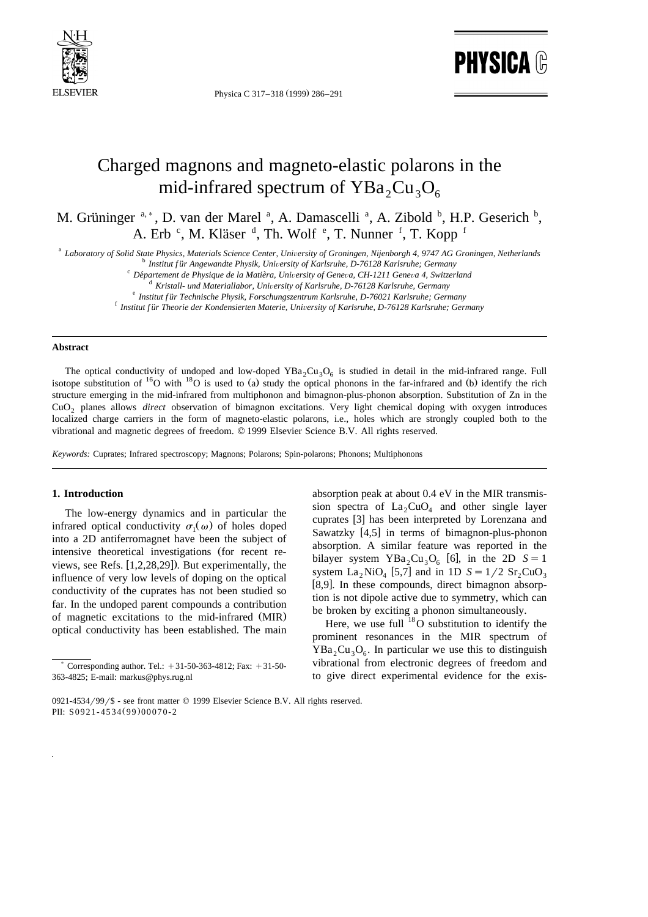

Physica C 317-318 (1999) 286-291

**PHYSICA ®** 

# Charged magnons and magneto-elastic polarons in the mid-infrared spectrum of  $YBa_2Cu_3O_6$

M. Grüninger <sup>a,\*</sup>, D. van der Marel <sup>a</sup>, A. Damascelli <sup>a</sup>, A. Zibold <sup>b</sup>, H.P. Geserich <sup>b</sup>, A. Erb<sup>c</sup>, M. Kläser<sup>d</sup>, Th. Wolf<sup>e</sup>, T. Nunner<sup>f</sup>, T. Kopp<sup>f</sup>

a Laboratory of Solid State Physics, Materials Science Center, University of Groningen, Nijenborgh 4, 9747 AG Groningen, Netherlands<br>
b Institut für Angewandte Physik, University of Karlsruhe, D-76128 Karlsruhe; Germany<br>

### **Abstract**

The optical conductivity of undoped and low-doped  $YBa_2Cu_3O_6$  is studied in detail in the mid-infrared range. Full isotope substitution of <sup>16</sup>O with <sup>18</sup>O is used to (a) study the optical phonons in the far-infrared and structure emerging in the mid-infrared from multiphonon and bimagnon-plus-phonon absorption. Substitution of Zn in the CuO<sub>2</sub> planes allows *direct* observation of bimagnon excitations. Very light chemical doping with oxygen introduces localized charge carriers in the form of magneto-elastic polarons, i.e., holes which are strongly coupled both to the vibrational and magnetic degrees of freedom. q 1999 Elsevier Science B.V. All rights reserved.

*Keywords:* Cuprates; Infrared spectroscopy; Magnons; Polarons; Spin-polarons; Phonons; Multiphonons

#### **1. Introduction**

The low-energy dynamics and in particular the infrared optical conductivity  $\sigma_1(\omega)$  of holes doped into a 2D antiferromagnet have been the subject of intensive theoretical investigations (for recent reviews, see Refs.  $[1,2,28,29]$ . But experimentally, the influence of very low levels of doping on the optical conductivity of the cuprates has not been studied so far. In the undoped parent compounds a contribution of magnetic excitations to the mid-infrared (MIR) optical conductivity has been established. The main

absorption peak at about 0.4 eV in the MIR transmission spectra of  $La_2CuO_4$  and other single layer cuprates [3] has been interpreted by Lorenzana and Sawatzky  $[4,5]$  in terms of bimagnon-plus-phonon absorption. A similar feature was reported in the bilayer system YBa<sub>2</sub>Cu<sub>3</sub>O<sub>6</sub> [6], in the 2D  $S = 1$ system La<sub>2</sub> NiO<sub>4</sub> [5,7] and in 1D  $S = 1/2$  Sr<sub>2</sub>CuO<sub>3</sub>  $[8,9]$ . In these compounds, direct bimagnon absorption is not dipole active due to symmetry, which can be broken by exciting a phonon simultaneously.

Here, we use full  $18\overline{O}$  substitution to identify the prominent resonances in the MIR spectrum of  $YBa<sub>2</sub>Cu<sub>3</sub>O<sub>6</sub>$ . In particular we use this to distinguish vibrational from electronic degrees of freedom and to give direct experimental evidence for the exis-

Corresponding author. Tel.:  $+31-50-363-4812$ ; Fax:  $+31-50-$ 363-4825; E-mail: markus@phys.rug.nl

<sup>0921-4534/99/\$ -</sup> see front matter  $\odot$  1999 Elsevier Science B.V. All rights reserved. PII: S0921-4534(99)00070-2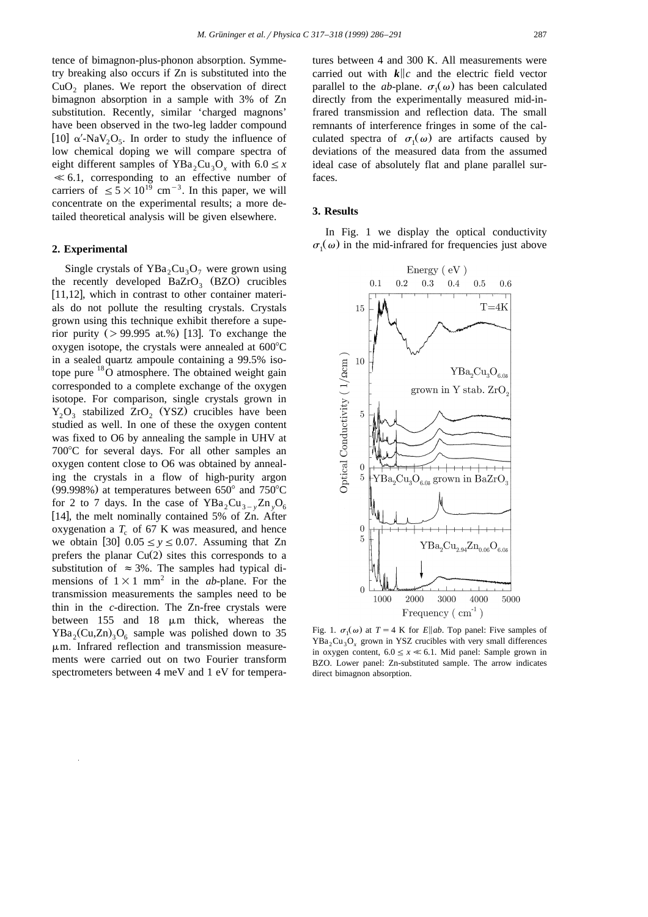tence of bimagnon-plus-phonon absorption. Symmetry breaking also occurs if Zn is substituted into the  $CuO<sub>2</sub>$  planes. We report the observation of direct bimagnon absorption in a sample with 3% of Zn substitution. Recently, similar 'charged magnons' have been observed in the two-leg ladder compound [10]  $\alpha'$ -NaV<sub>2</sub>O<sub>5</sub>. In order to study the influence of low chemical doping we will compare spectra of eight different samples of  $YBa_2Cu_3O_x$  with  $6.0 \le x$  $\ll 6.1$ , corresponding to an effective number of carriers of  $\leq 5 \times 10^{19}$  cm<sup>-3</sup>. In this paper, we will concentrate on the experimental results; a more detailed theoretical analysis will be given elsewhere.

#### **2. Experimental**

Single crystals of YBa<sub>2</sub>Cu<sub>3</sub>O<sub>7</sub> were grown using the recently developed  $BaZrO<sub>3</sub>$  (BZO) crucibles  $[11, 12]$ , which in contrast to other container materials do not pollute the resulting crystals. Crystals grown using this technique exhibit therefore a superior purity  $(> 99.995$  at.%) [13]. To exchange the oxygen isotope, the crystals were annealed at  $600^{\circ}$ C in a sealed quartz ampoule containing a 99.5% isotope pure <sup>18</sup>O atmosphere. The obtained weight gain corresponded to a complete exchange of the oxygen isotope. For comparison, single crystals grown in  $Y_2O_3$  stabilized ZrO<sub>2</sub> (YSZ) crucibles have been studied as well. In one of these the oxygen content was fixed to O6 by annealing the sample in UHV at  $700^{\circ}$ C for several days. For all other samples an oxygen content close to O6 was obtained by annealing the crystals in a flow of high-purity argon (99.998%) at temperatures between  $650^{\circ}$  and  $750^{\circ}$ C for 2 to 7 days. In the case of  $YBa_2Cu_{3-y}Zn_vO_6$ [14], the melt nominally contained 5% of  $Zn$ . After oxygenation a  $T_c$  of 67 K was measured, and hence we obtain [30]  $0.05 \le y \le 0.07$ . Assuming that Zn prefers the planar  $Cu(2)$  sites this corresponds to a substitution of  $\approx$  3%. The samples had typical dimensions of  $1\times1$  mm<sup>2</sup> in the *ab*-plane. For the transmission measurements the samples need to be thin in the *c*-direction. The Zn-free crystals were between  $155$  and  $18 \mu m$  thick, whereas the  $YBa_2(Cu,Zn)_3O_6$  sample was polished down to 35  $\mu$ m. Infrared reflection and transmission measurements were carried out on two Fourier transform spectrometers between 4 meV and 1 eV for temperatures between 4 and 300 K. All measurements were carried out with  $k||c$  and the electric field vector parallel to the *ab*-plane.  $\sigma_1(\omega)$  has been calculated directly from the experimentally measured mid-infrared transmission and reflection data. The small remnants of interference fringes in some of the calculated spectra of  $\sigma_1(\omega)$  are artifacts caused by deviations of the measured data from the assumed ideal case of absolutely flat and plane parallel surfaces.

#### **3. Results**

In Fig. 1 we display the optical conductivity  $\sigma_1(\omega)$  in the mid-infrared for frequencies just above



Fig. 1.  $\sigma_1(\omega)$  at  $T = 4$  K for *E*||ab. Top panel: Five samples of  $YBa_2Cu_3O_x$  grown in YSZ crucibles with very small differences in oxygen content,  $6.0 \le x \ll 6.1$ . Mid panel: Sample grown in BZO. Lower panel: Zn-substituted sample. The arrow indicates direct bimagnon absorption.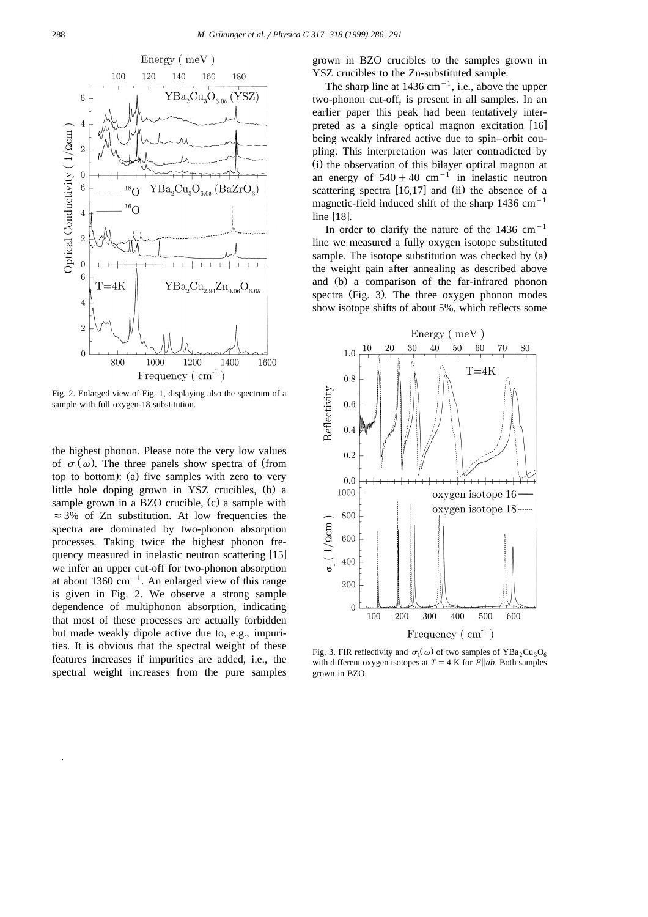

Fig. 2. Enlarged view of Fig. 1, displaying also the spectrum of a sample with full oxygen-18 substitution.

the highest phonon. Please note the very low values of  $\sigma_1(\omega)$ . The three panels show spectra of (from top to bottom): (a) five samples with zero to very little hole doping grown in YSZ crucibles,  $(b)$  a sample grown in a BZO crucible,  $(c)$  a sample with  $\approx$  3% of Zn substitution. At low frequencies the spectra are dominated by two-phonon absorption processes. Taking twice the highest phonon frequency measured in inelastic neutron scattering [15] we infer an upper cut-off for two-phonon absorption at about  $1360 \text{ cm}^{-1}$ . An enlarged view of this range is given in Fig. 2. We observe a strong sample dependence of multiphonon absorption, indicating that most of these processes are actually forbidden but made weakly dipole active due to, e.g., impurities. It is obvious that the spectral weight of these features increases if impurities are added, i.e., the spectral weight increases from the pure samples

grown in BZO crucibles to the samples grown in YSZ crucibles to the Zn-substituted sample.

The sharp line at  $1436 \text{ cm}^{-1}$ , i.e., above the upper two-phonon cut-off, is present in all samples. In an earlier paper this peak had been tentatively interpreted as a single optical magnon excitation  $[16]$ being weakly infrared active due to spin–orbit coupling. This interpretation was later contradicted by (i) the observation of this bilayer optical magnon at an energy of  $540 + 40$  cm<sup>-1</sup> in inelastic neutron scattering spectra  $[16,17]$  and  $(ii)$  the absence of a magnetic-field induced shift of the sharp  $1436 \text{ cm}^{-1}$ line  $[18]$ .

In order to clarify the nature of the  $1436 \text{ cm}^{-1}$ line we measured a fully oxygen isotope substituted sample. The isotope substitution was checked by  $(a)$ the weight gain after annealing as described above and (b) a comparison of the far-infrared phonon spectra (Fig. 3). The three oxygen phonon modes show isotope shifts of about 5%, which reflects some



Fig. 3. FIR reflectivity and  $\sigma_1(\omega)$  of two samples of YBa<sub>2</sub>Cu<sub>3</sub>O<sub>6</sub> with different oxygen isotopes at  $T = 4$  K for *E* about *E* about samples grown in BZO.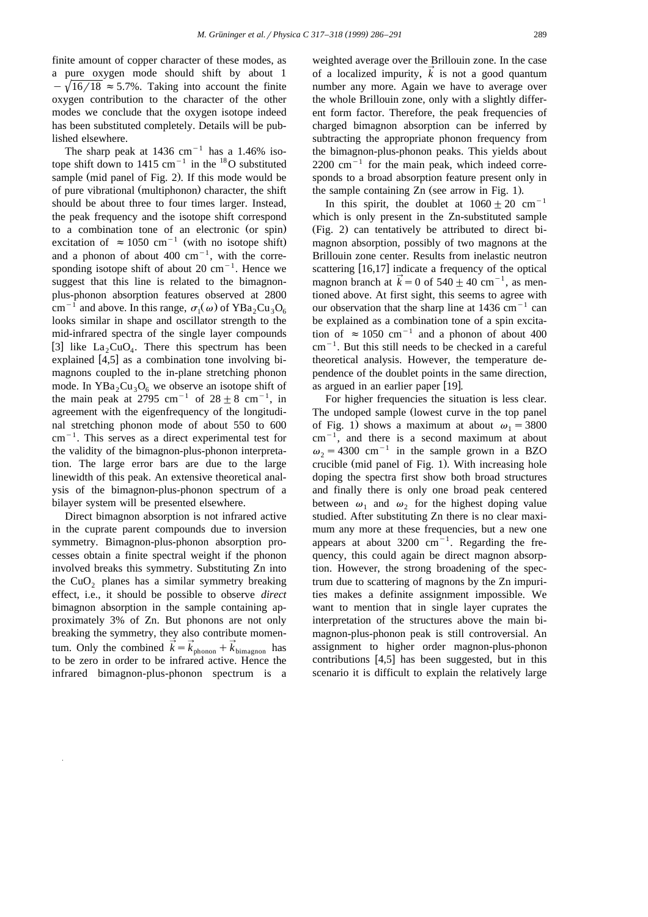finite amount of copper character of these modes, as a pure oxygen mode should shift by about 1  $-\sqrt{16/18} \approx 5.7\%$ . Taking into account the finite oxygen contribution to the character of the other modes we conclude that the oxygen isotope indeed has been substituted completely. Details will be published elsewhere.

The sharp peak at  $1436$  cm<sup>-1</sup> has a 1.46% isotope shift down to 1415 cm<sup>-1</sup> in the <sup>18</sup>O substituted sample (mid panel of Fig. 2). If this mode would be of pure vibrational (multiphonon) character, the shift should be about three to four times larger. Instead, the peak frequency and the isotope shift correspond to a combination tone of an electronic (or spin) excitation of  $\approx 1050 \text{ cm}^{-1}$  (with no isotope shift) and a phonon of about  $400 \text{ cm}^{-1}$ , with the corresponding isotope shift of about 20  $\text{cm}^{-1}$ . Hence we suggest that this line is related to the bimagnonplus-phonon absorption features observed at 2800 cm<sup>-1</sup> and above. In this range,  $\sigma_1(\omega)$  of YBa<sub>2</sub>Cu<sub>3</sub>O<sub>6</sub> looks similar in shape and oscillator strength to the mid-infrared spectra of the single layer compounds [3] like  $La_2CuO<sub>4</sub>$ . There this spectrum has been explained  $[4,5]$  as a combination tone involving bimagnons coupled to the in-plane stretching phonon mode. In  $YBa_2Cu_3O_6$  we observe an isotope shift of the main peak at 2795 cm<sup>-1</sup> of  $28 \pm 8$  cm<sup>-1</sup>, in agreement with the eigenfrequency of the longitudinal stretching phonon mode of about 550 to 600  $cm^{-1}$ . This serves as a direct experimental test for the validity of the bimagnon-plus-phonon interpretation. The large error bars are due to the large linewidth of this peak. An extensive theoretical analysis of the bimagnon-plus-phonon spectrum of a bilayer system will be presented elsewhere.

Direct bimagnon absorption is not infrared active in the cuprate parent compounds due to inversion symmetry. Bimagnon-plus-phonon absorption processes obtain a finite spectral weight if the phonon involved breaks this symmetry. Substituting Zn into the  $CuO<sub>2</sub>$  planes has a similar symmetry breaking effect, i.e., it should be possible to observe *direct* bimagnon absorption in the sample containing approximately 3% of Zn. But phonons are not only breaking the symmetry, they also contribute momentum. Only the combined  $\vec{k} = \vec{k}_{\text{phonon}} + \vec{k}_{\text{bimagnon}}$  has to be zero in order to be infrared active. Hence the infrared bimagnon-plus-phonon spectrum is a

weighted average over the Brillouin zone. In the case of a localized impurity,  $\vec{k}$  is not a good quantum number any more. Again we have to average over the whole Brillouin zone, only with a slightly different form factor. Therefore, the peak frequencies of charged bimagnon absorption can be inferred by subtracting the appropriate phonon frequency from the bimagnon-plus-phonon peaks. This yields about  $2200 \text{ cm}^{-1}$  for the main peak, which indeed corresponds to a broad absorption feature present only in the sample containing  $Zn$  (see arrow in Fig. 1).

In this spirit, the doublet at  $1060 \pm 20$  cm<sup>-1</sup> which is only present in the Zn-substituted sample  $(Fig. 2)$  can tentatively be attributed to direct bimagnon absorption, possibly of two magnons at the Brillouin zone center. Results from inelastic neutron scattering [16,17] indicate a frequency of the optical magnon branch at  $\vec{k} = 0$  of 540  $\pm$  40 cm<sup>-1</sup>, as mentioned above. At first sight, this seems to agree with our observation that the sharp line at  $1436 \text{ cm}^{-1}$  can be explained as a combination tone of a spin excitation of  $\approx 1050$  cm<sup>-1</sup> and a phonon of about 400  $cm^{-1}$ . But this still needs to be checked in a careful theoretical analysis. However, the temperature dependence of the doublet points in the same direction, as argued in an earlier paper [19].

For higher frequencies the situation is less clear. The undoped sample (lowest curve in the top panel of Fig. 1) shows a maximum at about  $\omega_1 = 3800$  $cm^{-1}$ , and there is a second maximum at about  $\omega_2$  = 4300 cm<sup>-1</sup> in the sample grown in a BZO crucible (mid panel of Fig. 1). With increasing hole doping the spectra first show both broad structures and finally there is only one broad peak centered between  $\omega_1$  and  $\omega_2$  for the highest doping value studied. After substituting Zn there is no clear maximum any more at these frequencies, but a new one appears at about  $3200 \text{ cm}^{-1}$ . Regarding the frequency, this could again be direct magnon absorption. However, the strong broadening of the spectrum due to scattering of magnons by the Zn impurities makes a definite assignment impossible. We want to mention that in single layer cuprates the interpretation of the structures above the main bimagnon-plus-phonon peak is still controversial. An assignment to higher order magnon-plus-phonon contributions  $[4,5]$  has been suggested, but in this scenario it is difficult to explain the relatively large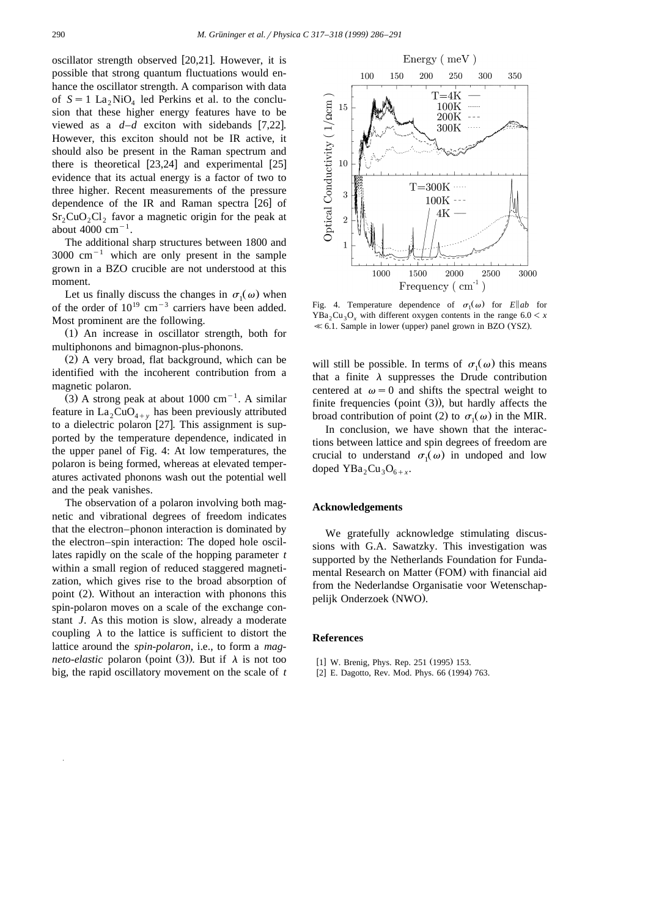oscillator strength observed  $[20,21]$ . However, it is possible that strong quantum fluctuations would enhance the oscillator strength. A comparison with data of  $S = 1$  La<sub>2</sub> NiO<sub>4</sub> led Perkins et al. to the conclusion that these higher energy features have to be viewed as a  $d-d$  exciton with sidebands [7,22]. However, this exciton should not be IR active, it should also be present in the Raman spectrum and there is theoretical  $[23,24]$  and experimental  $[25]$ evidence that its actual energy is a factor of two to three higher. Recent measurements of the pressure dependence of the IR and Raman spectra  $[26]$  of  $Sr_2CuO_2Cl_2$  favor a magnetic origin for the peak at about  $4000 \text{ cm}^{-1}$ .

The additional sharp structures between 1800 and  $3000 \text{ cm}^{-1}$  which are only present in the sample grown in a BZO crucible are not understood at this moment.

Let us finally discuss the changes in  $\sigma_1(\omega)$  when of the order of  $10^{19}$  cm<sup>-3</sup> carriers have been added. Most prominent are the following.

 $(1)$  An increase in oscillator strength, both for multiphonons and bimagnon-plus-phonons.

 $(2)$  A very broad, flat background, which can be identified with the incoherent contribution from a magnetic polaron.

(3) A strong peak at about 1000  $cm^{-1}$ . A similar feature in  $La_2CuO_{4+v}$  has been previously attributed to a dielectric polaron  $[27]$ . This assignment is supported by the temperature dependence, indicated in the upper panel of Fig. 4: At low temperatures, the polaron is being formed, whereas at elevated temperatures activated phonons wash out the potential well and the peak vanishes.

The observation of a polaron involving both magnetic and vibrational degrees of freedom indicates that the electron–phonon interaction is dominated by the electron–spin interaction: The doped hole oscillates rapidly on the scale of the hopping parameter *t* within a small region of reduced staggered magnetization, which gives rise to the broad absorption of point (2). Without an interaction with phonons this spin-polaron moves on a scale of the exchange constant *J*. As this motion is slow, already a moderate coupling  $\lambda$  to the lattice is sufficient to distort the lattice around the *spin-polaron*, i.e., to form a *magneto-elastic* polaron (point (3)). But if  $\lambda$  is not too big, the rapid oscillatory movement on the scale of *t*



Fig. 4. Temperature dependence of  $\sigma_1(\omega)$  for *E* ab for  $YBa_2Cu_3O_x$  with different oxygen contents in the range  $6.0 < x$  $\ll$  6.1. Sample in lower (upper) panel grown in BZO (YSZ).

will still be possible. In terms of  $\sigma_1(\omega)$  this means that a finite  $\lambda$  suppresses the Drude contribution centered at  $\omega = 0$  and shifts the spectral weight to finite frequencies (point  $(3)$ ), but hardly affects the broad contribution of point (2) to  $\sigma_1(\omega)$  in the MIR.

In conclusion, we have shown that the interactions between lattice and spin degrees of freedom are crucial to understand  $\sigma_1(\omega)$  in undoped and low doped  $YBa<sub>2</sub>Cu<sub>3</sub>O<sub>6+x</sub>$ .

## **Acknowledgements**

We gratefully acknowledge stimulating discussions with G.A. Sawatzky. This investigation was supported by the Netherlands Foundation for Fundamental Research on Matter (FOM) with financial aid from the Nederlandse Organisatie voor Wetenschappelijk Onderzoek (NWO).

#### **References**

- [1] W. Brenig, Phys. Rep. 251 (1995) 153.
- <sup>2</sup> E. Dagotto, Rev. Mod. Phys. 66 (1994) 763.